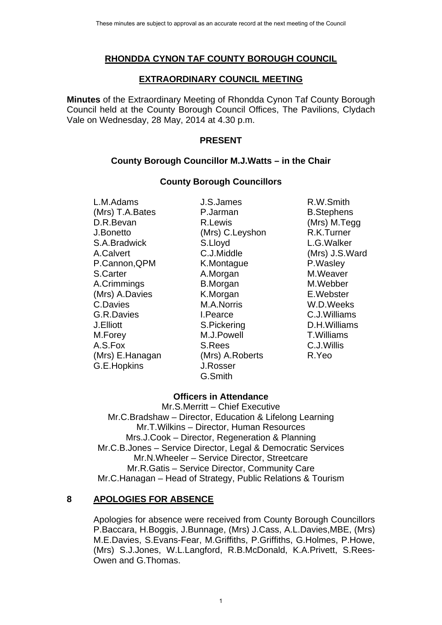## **RHONDDA CYNON TAF COUNTY BOROUGH COUNCIL**

#### **EXTRAORDINARY COUNCIL MEETING**

**Minutes** of the Extraordinary Meeting of Rhondda Cynon Taf County Borough Council held at the County Borough Council Offices, The Pavilions, Clydach Vale on Wednesday, 28 May, 2014 at 4.30 p.m.

### **PRESENT**

### **County Borough Councillor M.J.Watts – in the Chair**

#### **County Borough Councillors**

L.M.Adams J.S.James R.W.Smith (Mrs) T.A.Bates P.Jarman B.Stephens D.R.Bevan R.Lewis (Mrs) M.Tegg J.Bonetto (Mrs) C.Leyshon R.K.Turner S.A.Bradwick S.Lloyd L.G.Walker A.Calvert C.J.Middle (Mrs) J.S.Ward P.Cannon, QPM K.Montague P.Wasley S.Carter **A.Morgan** A.Morgan M.Weaver A.Crimmings B.Morgan M.Webber (Mrs) A.Davies **K.Morgan E.Webster** C.Davies M.A.Norris W.D.Weeks G.R.Davies I.Pearce C.J.Williams J.Elliott S.Pickering D.H.Williams M.Forey M.J.Powell T.Williams A.S.Fox S.Rees C.J.Willis (Mrs) E.Hanagan (Mrs) A.Roberts R.Yeo G.E.Hopkins J.Rosser

G.Smith

## **Officers in Attendance**

Mr.S.Merritt – Chief Executive Mr.C.Bradshaw – Director, Education & Lifelong Learning Mr.T.Wilkins – Director, Human Resources Mrs.J.Cook – Director, Regeneration & Planning Mr.C.B.Jones – Service Director, Legal & Democratic Services Mr.N.Wheeler – Service Director, Streetcare Mr.R.Gatis – Service Director, Community Care Mr.C.Hanagan – Head of Strategy, Public Relations & Tourism

## **8 APOLOGIES FOR ABSENCE**

Apologies for absence were received from County Borough Councillors P.Baccara, H.Boggis, J.Bunnage, (Mrs) J.Cass, A.L.Davies,MBE, (Mrs) M.E.Davies, S.Evans-Fear, M.Griffiths, P.Griffiths, G.Holmes, P.Howe, (Mrs) S.J.Jones, W.L.Langford, R.B.McDonald, K.A.Privett, S.Rees-Owen and G.Thomas.